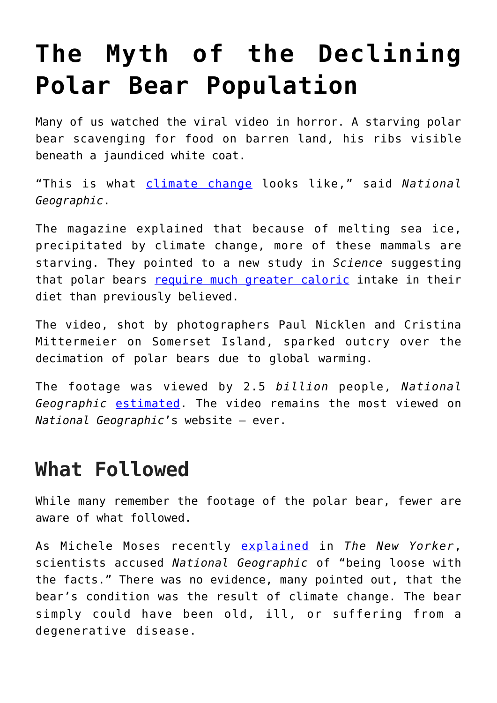# **[The Myth of the Declining](https://intellectualtakeout.org/2019/09/the-myth-of-the-declining-polar-bear-population/) [Polar Bear Population](https://intellectualtakeout.org/2019/09/the-myth-of-the-declining-polar-bear-population/)**

Many of us watched the viral video in horror. A starving polar bear scavenging for food on barren land, his ribs visible beneath a jaundiced white coat.

"This is what [climate change](https://fee.org/learning-center/issues/climate-change/how-the-profit-motive-can-help-fight-climate-change/) looks like," said *National Geographic*.

The magazine explained that because of melting sea ice, precipitated by climate change, more of these mammals are starving. They pointed to a new study in *Science* suggesting that polar bears [require much greater caloric](https://science.sciencemag.org/content/359/6375/568) intake in their diet than previously believed.

The video, shot by photographers Paul Nicklen and Cristina Mittermeier on Somerset Island, sparked outcry over the decimation of polar bears due to global warming.

The footage was viewed by 2.5 *billion* people, *National Geographic* [estimated](https://www.thesun.co.uk/news/6923730/starving-polar-bear-fake-national-geographic-arctic/). The video remains the most viewed on *National Geographic*'s website – ever.

## **What Followed**

While many remember the footage of the polar bear, fewer are aware of what followed.

As Michele Moses recently [explained](https://www.newyorker.com/culture/annals-of-appearances/why-the-polar-bear-is-the-undisputed-image-of-climate-change) in *The New Yorker*, scientists accused *National Geographic* of "being loose with the facts." There was no evidence, many pointed out, that the bear's condition was the result of climate change. The bear simply could have been old, ill, or suffering from a degenerative disease.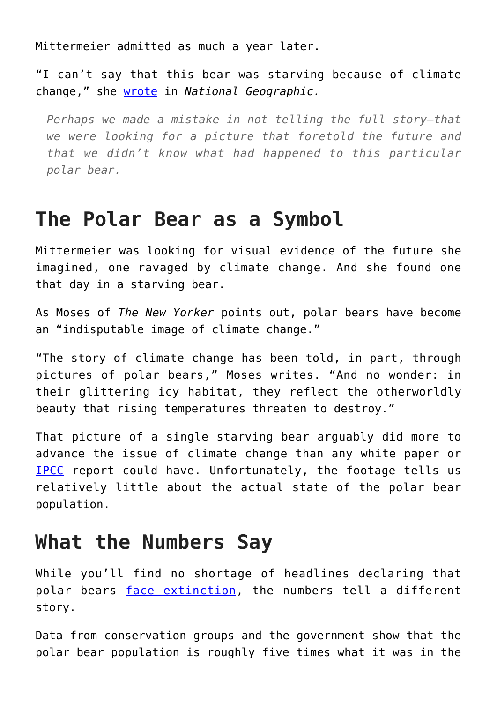Mittermeier admitted as much a year later.

"I can't say that this bear was starving because of climate change," she [wrote](https://www.nationalgeographic.com/magazine/2018/08/explore-through-the-lens-starving-polar-bear-photo/) in *National Geographic.*

*Perhaps we made a mistake in not telling the full story—that we were looking for a picture that foretold the future and that we didn't know what had happened to this particular polar bear.*

#### **The Polar Bear as a Symbol**

Mittermeier was looking for visual evidence of the future she imagined, one ravaged by climate change. And she found one that day in a starving bear.

As Moses of *The New Yorker* points out, polar bears have become an "indisputable image of climate change."

"The story of climate change has been told, in part, through pictures of polar bears," Moses writes. "And no wonder: in their glittering icy habitat, they reflect the otherworldly beauty that rising temperatures threaten to destroy."

That picture of a single starving bear arguably did more to advance the issue of climate change than any white paper or [IPCC](https://www.ipcc.ch/) report could have. Unfortunately, the footage tells us relatively little about the actual state of the polar bear population.

## **What the Numbers Say**

While you'll find no shortage of headlines declaring that polar bears [face extinction](https://www.cnn.com/2018/02/02/world/polar-bears-extinction-intl/index.html), the numbers tell a different story.

Data from conservation groups and the government show that the polar bear population is roughly five times what it was in the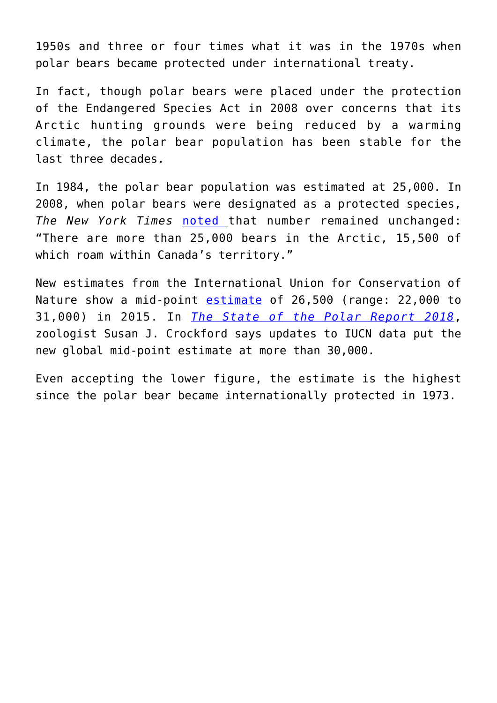1950s and three or four times what it was in the 1970s when polar bears became protected under international treaty.

In fact, though polar bears were placed under the protection of the Endangered Species Act in 2008 over concerns that its Arctic hunting grounds were being reduced by a warming climate, the polar bear population has been stable for the last three decades.

In 1984, the polar bear population was estimated at 25,000. In 2008, when polar bears were designated as a protected species, *The New York Times* [noted t](https://www.nytimes.com/2008/05/15/world/americas/15iht-bear.1.12908866.html)hat number remained unchanged: "There are more than 25,000 bears in the Arctic, 15,500 of which roam within Canada's territory."

New estimates from the International Union for Conservation of Nature show a mid-point [estimate](https://www.iucnredlist.org/species/22823/14871490) of 26,500 (range: 22,000 to 31,000) in 2015. In *[The State of the Polar Report 2018](https://www.thegwpf.org/content/uploads/2019/02/State-of-the-polar-bear2018.pdf)*, zoologist Susan J. Crockford says updates to IUCN data put the new global mid-point estimate at more than 30,000.

Even accepting the lower figure, the estimate is the highest since the polar bear became internationally protected in 1973.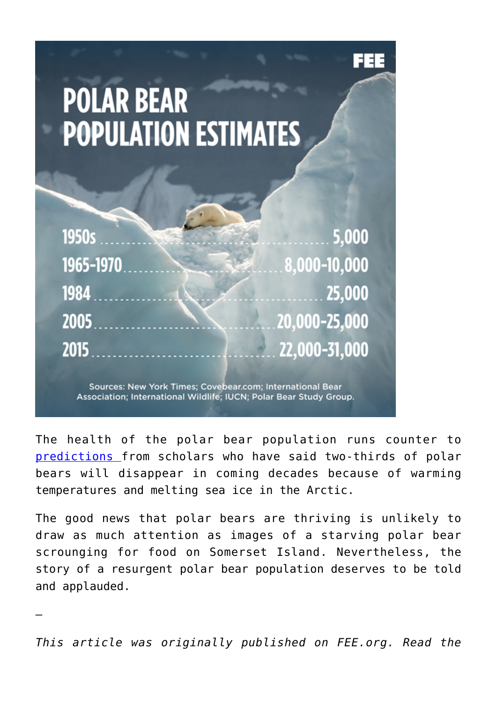# **POLAR BEAR POPULATION ESTIMATES**

| 1950s         |                                                           | $\frac{1}{2}$ 5,000 |
|---------------|-----------------------------------------------------------|---------------------|
| $1965 - 1970$ |                                                           | $8,000-10,000$      |
|               | $1984$ 25,000                                             |                     |
| 2005          | $20,000 - 25,000$                                         |                     |
| 2015          | $\frac{1}{22,000-31,000}$                                 |                     |
|               | Causeau Nau Vaul: Timese Causheau sans International Dear |                     |

Sources: New York Times; Covebear.com; International Bear Association; International Wildlife; IUCN; Polar Bear Study Group.

The health of the polar bear population runs counter to [predictions f](https://www.whoi.edu/page.do?pid=126458&tid=3622&cid=35187)rom scholars who have said two-thirds of polar bears will disappear in coming decades because of warming temperatures and melting sea ice in the Arctic.

The good news that polar bears are thriving is unlikely to draw as much attention as images of a starving polar bear scrounging for food on Somerset Island. Nevertheless, the story of a resurgent polar bear population deserves to be told and applauded.

*This article was originally published on FEE.org. Read the*

—